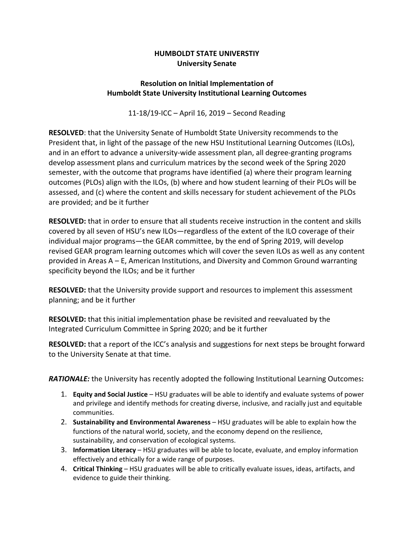## **HUMBOLDT STATE UNIVERSTIY University Senate**

## **Resolution on Initial Implementation of Humboldt State University Institutional Learning Outcomes**

11-18/19-ICC – April 16, 2019 – Second Reading

**RESOLVED**: that the University Senate of Humboldt State University recommends to the President that, in light of the passage of the new HSU Institutional Learning Outcomes (ILOs), and in an effort to advance a university-wide assessment plan, all degree-granting programs develop assessment plans and curriculum matrices by the second week of the Spring 2020 semester, with the outcome that programs have identified (a) where their program learning outcomes (PLOs) align with the ILOs, (b) where and how student learning of their PLOs will be assessed, and (c) where the content and skills necessary for student achievement of the PLOs are provided; and be it further

**RESOLVED:** that in order to ensure that all students receive instruction in the content and skills covered by all seven of HSU's new ILOs—regardless of the extent of the ILO coverage of their individual major programs—the GEAR committee, by the end of Spring 2019, will develop revised GEAR program learning outcomes which will cover the seven ILOs as well as any content provided in Areas A – E, American Institutions, and Diversity and Common Ground warranting specificity beyond the ILOs; and be it further

**RESOLVED:** that the University provide support and resources to implement this assessment planning; and be it further

**RESOLVED:** that this initial implementation phase be revisited and reevaluated by the Integrated Curriculum Committee in Spring 2020; and be it further

**RESOLVED:** that a report of the ICC's analysis and suggestions for next steps be brought forward to the University Senate at that time.

*RATIONALE:* the University has recently adopted the following Institutional Learning Outcomes**:**

- 1. **Equity and Social Justice** HSU graduates will be able to identify and evaluate systems of power and privilege and identify methods for creating diverse, inclusive, and racially just and equitable communities.
- 2. **Sustainability and Environmental Awareness** HSU graduates will be able to explain how the functions of the natural world, society, and the economy depend on the resilience, sustainability, and conservation of ecological systems.
- 3. **Information Literacy** HSU graduates will be able to locate, evaluate, and employ information effectively and ethically for a wide range of purposes.
- 4. **Critical Thinking** HSU graduates will be able to critically evaluate issues, ideas, artifacts, and evidence to guide their thinking.